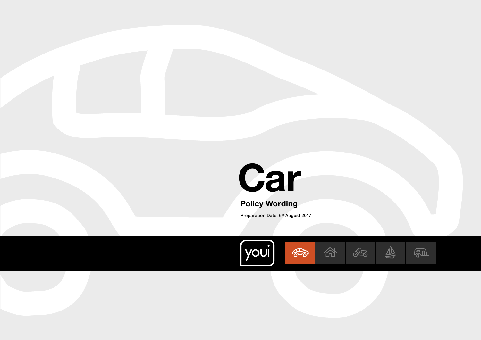<span id="page-0-0"></span>

# Policy Wording

Preparation Date: 6<sup>th</sup> August 2017

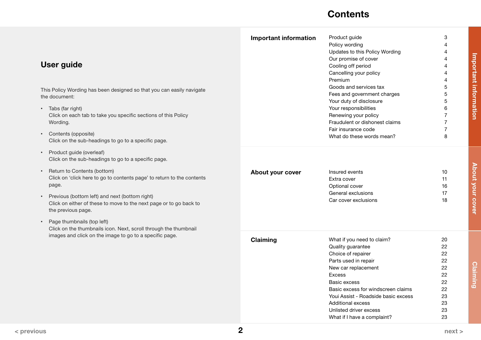# **Contents**

<span id="page-1-0"></span>

| <b>User guide</b><br>This Policy Wording has been designed so that you can easily navigate<br>the document:<br>Tabs (far right)<br>$\bullet$<br>Click on each tab to take you specific sections of this Policy<br>Wording.<br>• Contents (opposite)<br>Click on the sub-headings to go to a specific page.                                                                                                                                                                               | <b>Important information</b> | Product guide<br>Policy wording<br>Updates to this Policy Wording<br>Our promise of cover<br>Cooling off period<br>Cancelling your policy<br>Premium<br>Goods and services tax<br>Fees and government charges<br>Your duty of disclosure<br>Your responsibilities<br>Renewing your policy<br>Fraudulent or dishonest claims<br>Fair insurance code<br>What do these words mean? | 3<br>4<br>4<br>4<br>4<br>Δ<br>5<br>5<br>5<br>6<br>$\overline{7}$<br>$\overline{7}$<br>7<br>8 | Important information   |
|------------------------------------------------------------------------------------------------------------------------------------------------------------------------------------------------------------------------------------------------------------------------------------------------------------------------------------------------------------------------------------------------------------------------------------------------------------------------------------------|------------------------------|---------------------------------------------------------------------------------------------------------------------------------------------------------------------------------------------------------------------------------------------------------------------------------------------------------------------------------------------------------------------------------|----------------------------------------------------------------------------------------------|-------------------------|
| Product guide (overleaf)<br>$\bullet$<br>Click on the sub-headings to go to a specific page.<br>Return to Contents (bottom)<br>$\bullet$<br>Click on 'click here to go to contents page' to return to the contents<br>page.<br>Previous (bottom left) and next (bottom right)<br>Click on either of these to move to the next page or to go back to<br>the previous page.<br>Page thumbnails (top left)<br>$\bullet$<br>Click on the thumbnails icon. Next, scroll through the thumbnail | About your cover             | Insured events<br>Extra cover<br>Optional cover<br>General exclusions<br>Car cover exclusions                                                                                                                                                                                                                                                                                   | 10<br>11<br>16<br>17<br>18                                                                   | <b>About your cover</b> |
| images and click on the image to go to a specific page.                                                                                                                                                                                                                                                                                                                                                                                                                                  | Claiming                     | What if you need to claim?<br>Quality guarantee<br>Choice of repairer<br>Parts used in repair<br>New car replacement<br><b>Excess</b><br>Basic excess<br>Basic excess for windscreen claims<br>Youi Assist - Roadside basic excess<br><b>Additional excess</b><br>Unlisted driver excess<br>What if I have a complaint?                                                         | 20<br>22<br>22<br>22<br>22<br>22<br>22<br>22<br>23<br>23<br>23<br>23                         | <b>Claiming</b>         |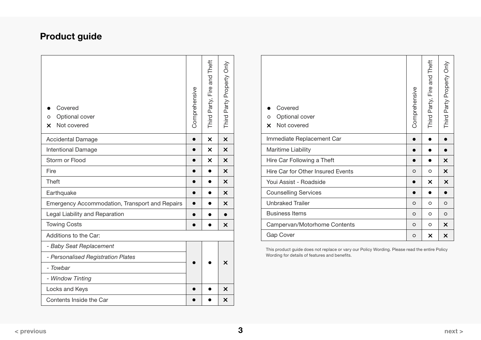# <span id="page-2-0"></span>Product guide

| Covered<br>Optional cover<br>O<br>Not covered<br>x | Comprehensive | Third Party, Fire and Theft | Third Party Property Only | Covered<br>Optional cover<br>$\circ$<br>Not covered<br>$\boldsymbol{\times}$ |
|----------------------------------------------------|---------------|-----------------------------|---------------------------|------------------------------------------------------------------------------|
| <b>Accidental Damage</b>                           | $\bullet$     | $\boldsymbol{\mathsf{x}}$   | $\boldsymbol{\times}$     | Immediate Replacement Car                                                    |
| <b>Intentional Damage</b>                          | $\bullet$     | $\times$                    | X                         | Maritime Liability                                                           |
| Storm or Flood                                     | $\bullet$     | $\times$                    | $\times$                  | Hire Car Following a Theft                                                   |
| Fire                                               | $\bullet$     | $\bullet$                   | $\boldsymbol{\mathsf{x}}$ | Hire Car for Other Insured Events                                            |
| Theft                                              | $\bullet$     | $\bullet$                   | $\times$                  | Youi Assist - Roadside                                                       |
| Earthquake                                         | $\bullet$     |                             | X                         | <b>Counselling Services</b>                                                  |
| Emergency Accommodation, Transport and Repairs     | $\bullet$     | $\bullet$                   | $\times$                  | <b>Unbraked Trailer</b>                                                      |
| Legal Liability and Reparation                     | $\bullet$     |                             |                           | <b>Business Items</b>                                                        |
| <b>Towing Costs</b>                                | $\bullet$     | $\bullet$                   | $\times$                  | Campervan/Motorhome Contents                                                 |
| Additions to the Car:                              |               |                             |                           | Gap Cover                                                                    |
| - Baby Seat Replacement                            |               |                             |                           | This product guide does not replace or vary o                                |
| - Personalised Registration Plates                 |               |                             |                           | Wording for details of features and benefits.                                |
| - Towbar                                           | $\bullet$     |                             | $\times$                  |                                                                              |
| - Window Tinting                                   |               |                             |                           |                                                                              |
| Locks and Keys                                     | $\bullet$     | $\bullet$                   | $\times$                  |                                                                              |
| Contents Inside the Car                            |               |                             | $\times$                  |                                                                              |
|                                                    |               |                             |                           |                                                                              |

| Covered<br>Optional cover<br>O<br>Not covered<br>X. | Comprehensive | Third Party, Fire and Theft | Third Party Property Only |
|-----------------------------------------------------|---------------|-----------------------------|---------------------------|
| Immediate Replacement Car                           |               |                             |                           |
| Maritime Liability                                  |               |                             |                           |
| Hire Car Following a Theft                          |               |                             | $\times$                  |
| Hire Car for Other Insured Events                   | $\circ$       | O                           | $\times$                  |
| Youi Assist - Roadside                              |               | $\times$                    | $\times$                  |
| <b>Counselling Services</b>                         |               |                             |                           |
| <b>Unbraked Trailer</b>                             | $\circ$       | O                           | $\circ$                   |
| <b>Business Items</b>                               |               | O                           | $\circ$                   |
| Campervan/Motorhome Contents                        |               | O                           | X                         |
| Gap Cover                                           |               | X                           | X                         |

This product guide does not replace or vary our Policy Wording. Please read the entire Policy Wording for details of features and benefits.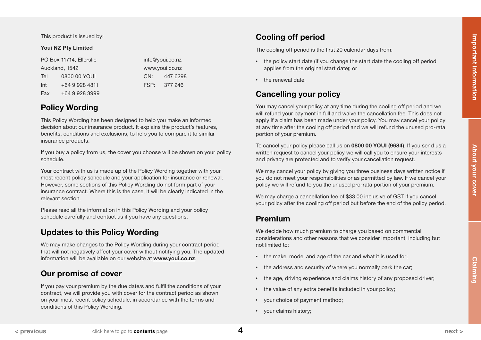<span id="page-3-0"></span>This product is issued by:

### Youi NZ Pty Limited

|                | PO Box 11714, Ellerslie | info@youi.co.nz |          |
|----------------|-------------------------|-----------------|----------|
| Auckland, 1542 |                         | www.youi.co.nz  |          |
| Tel            | 0800 00 YOUI            | CN:             | 447 6298 |
| Int            | +64 9 928 4811          | FSP:            | 377 246  |
| Fax            | +64 9 928 3999          |                 |          |

# Policy Wording

This Policy Wording has been designed to help you make an informed decision about our insurance product. It explains the product's features, benefits, conditions and exclusions, to help you to compare it to similar insurance products.

If you buy a policy from us, the cover you choose will be shown on your policy schedule.

Your contract with us is made up of the Policy Wording together with your most recent policy schedule and your application for insurance or renewal. However, some sections of this Policy Wording do not form part of your insurance contract. Where this is the case, it will be clearly indicated in the relevant section.

Please read all the information in this Policy Wording and your policy schedule carefully and contact us if you have any questions.

# Updates to this Policy Wording

We may make changes to the Policy Wording during your contract period that will not negatively affect your cover without notifying you. The updated information will be available on our website at [www.youi.co.nz](http://www.youi.co.nz).

# Our promise of cover

If you pay your premium by the due date/s and fulfil the conditions of your contract, we will provide you with cover for the contract period as shown on your most recent policy schedule, in accordance with the terms and conditions of this Policy Wording.

# Cooling off period

The cooling off period is the first 20 calendar days from:

- the policy start date (if you change the start date the cooling off period applies from the original start date); or
- the renewal date.

# Cancelling your policy

You may cancel your policy at any time during the cooling off period and we will refund your payment in full and waive the cancellation fee. This does not apply if a claim has been made under your policy. You may cancel your policy at any time after the cooling off period and we will refund the unused pro-rata portion of your premium.

To cancel your policy please call us on 0800 00 YOUI (9684). If you send us a written request to cancel your policy we will call you to ensure your interests and privacy are protected and to verify your cancellation request.

We may cancel your policy by giving you three business days written notice if you do not meet your responsibilities or as permitted by law. If we cancel your policy we will refund to you the unused pro-rata portion of your premium.

We may charge a cancellation fee of \$33.00 inclusive of GST if you cancel your policy after the cooling off period but before the end of the policy period.

# Premium

We decide how much premium to charge you based on commercial considerations and other reasons that we consider important, including but not limited to:

- the make, model and age of the car and what it is used for;
- the address and security of where you normally park the car;
- the age, driving experience and claims history of any proposed driver;
- the value of any extra benefits included in your policy;
- your choice of payment method;
- your claims history;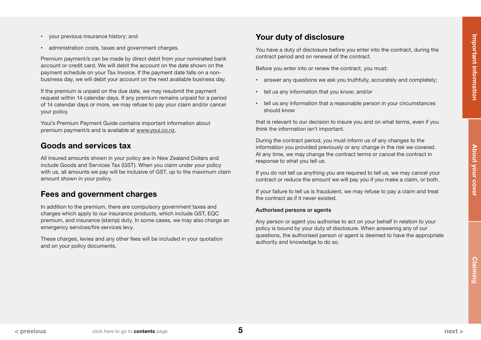<span id="page-4-0"></span>• administration costs, taxes and government charges.

Premium payment/s can be made by direct debit from your nominated bank account or credit card. We will debit the account on the date shown on the payment schedule on your Tax Invoice. If the payment date falls on a nonbusiness day, we will debit your account on the next available business day.

If the premium is unpaid on the due date, we may resubmit the payment request within 14 calendar days. If any premium remains unpaid for a period of 14 calendar days or more, we may refuse to pay your claim and/or cancel your policy.

Youi's Premium Payment Guide contains important information about premium payment/s and is available at [www.youi.co.nz.](https://www.youi.co.nz/)

# Goods and services tax

All insured amounts shown in your policy are in New Zealand Dollars and include Goods and Services Tax (GST). When you claim under your policy with us, all amounts we pay will be inclusive of GST, up to the maximum claim amount shown in your policy.

# Fees and government charges

In addition to the premium, there are compulsory government taxes and charges which apply to our insurance products, which include GST, EQC premium, and insurance (stamp) duty. In some cases, we may also charge an emergency services/fire services levy.

These charges, levies and any other fees will be included in your quotation and on your policy documents.

# Your duty of disclosure

You have a duty of disclosure before you enter into the contract, during the contract period and on renewal of the contract.

Before you enter into or renew the contract, you must:

- answer any questions we ask you truthfully, accurately and completely;
- tell us any information that you know; and/or
- tell us any information that a reasonable person in your circumstances should know

that is relevant to our decision to insure you and on what terms, even if you think the information isn't important.

During the contract period, you must inform us of any changes to the information you provided previously or any change in the risk we covered. At any time, we may change the contract terms or cancel the contract in response to what you tell us.

If you do not tell us anything you are required to tell us, we may cancel your contract or reduce the amount we will pay you if you make a claim, or both.

If your failure to tell us is fraudulent, we may refuse to pay a claim and treat the contract as if it never existed.

#### Authorised persons or agents

Any person or agent you authorise to act on your behalf in relation to your policy is bound by your duty of disclosure. When answering any of our questions, the authorised person or agent is deemed to have the appropriate authority and knowledge to do so.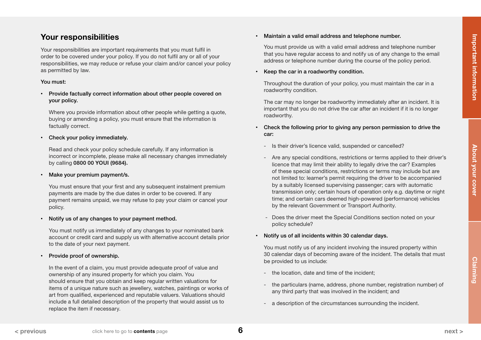<span id="page-5-0"></span>Your responsibilities are important requirements that you must fulfil in order to be covered under your policy. If you do not fulfil any or all of your responsibilities, we may reduce or refuse your claim and/or cancel your policy as permitted by law.

## You must:

• Provide factually correct information about other people covered on your policy.

Where you provide information about other people while getting a quote, buying or amending a policy, you must ensure that the information is factually correct.

Check your policy immediately.

Read and check your policy schedule carefully. If any information is incorrect or incomplete, please make all necessary changes immediately by calling 0800 00 YOUI (9684).

Make your premium payment/s.

You must ensure that your first and any subsequent instalment premium payments are made by the due dates in order to be covered. If any payment remains unpaid, we may refuse to pay your claim or cancel your policy.

• Notify us of any changes to your payment method.

You must notify us immediately of any changes to your nominated bank account or credit card and supply us with alternative account details prior to the date of your next payment.

• Provide proof of ownership.

In the event of a claim, you must provide adequate proof of value and ownership of any insured property for which you claim. You should ensure that you obtain and keep regular written valuations for items of a unique nature such as jewellery, watches, paintings or works of art from qualified, experienced and reputable valuers. Valuations should include a full detailed description of the property that would assist us to replace the item if necessary.

• Maintain a valid email address and telephone number.

You must provide us with a valid email address and telephone number that you have regular access to and notify us of any change to the email address or telephone number during the course of the policy period.

• Keep the car in a roadworthy condition.

Throughout the duration of your policy, you must maintain the car in a roadworthy condition.

The car may no longer be roadworthy immediately after an incident. It is important that you do not drive the car after an incident if it is no longer roadworthy.

- Check the following prior to giving any person permission to drive the car:
	- Is their driver's licence valid, suspended or cancelled?
	- Are any special conditions, restrictions or terms applied to their driver's licence that may limit their ability to legally drive the car? Examples of these special conditions, restrictions or terms may include but are not limited to: learner's permit requiring the driver to be accompanied by a suitably licensed supervising passenger; cars with automatic transmission only; certain hours of operation only e.g. daytime or night time; and certain cars deemed high-powered (performance) vehicles by the relevant Government or Transport Authority.
	- Does the driver meet the Special Conditions section noted on your policy schedule?
- Notify us of all incidents within 30 calendar days.

You must notify us of any incident involving the insured property within 30 calendar days of becoming aware of the incident. The details that must be provided to us include:

- the location, date and time of the incident;
- the particulars (name, address, phone number, registration number) of any third party that was involved in the incident; and
- a description of the circumstances surrounding the incident.

6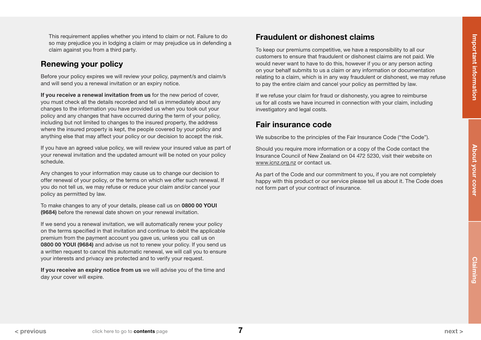<span id="page-6-0"></span>This requirement applies whether you intend to claim or not. Failure to do so may prejudice you in lodging a claim or may prejudice us in defending a claim against you from a third party.

# Renewing your policy

Before your policy expires we will review your policy, payment/s and claim/s and will send you a renewal invitation or an expiry notice.

If you receive a renewal invitation from us for the new period of cover, you must check all the details recorded and tell us immediately about any changes to the information you have provided us when you took out your policy and any changes that have occurred during the term of your policy, including but not limited to changes to the insured property, the address where the insured property is kept, the people covered by your policy and anything else that may affect your policy or our decision to accept the risk.

If you have an agreed value policy, we will review your insured value as part of your renewal invitation and the updated amount will be noted on your policy schedule.

Any changes to your information may cause us to change our decision to offer renewal of your policy, or the terms on which we offer such renewal. If you do not tell us, we may refuse or reduce your claim and/or cancel your policy as permitted by law.

To make changes to any of your details, please call us on 0800 00 YOUI (9684) before the renewal date shown on your renewal invitation.

If we send you a renewal invitation, we will automatically renew your policy on the terms specified in that invitation and continue to debit the applicable premium from the payment account you gave us, unless you call us on 0800 00 YOUI (9684) and advise us not to renew your policy. If you send us a written request to cancel this automatic renewal, we will call you to ensure your interests and privacy are protected and to verify your request.

If you receive an expiry notice from us we will advise you of the time and day your cover will expire.

# Fraudulent or dishonest claims

To keep our premiums competitive, we have a responsibility to all our customers to ensure that fraudulent or dishonest claims are not paid. We would never want to have to do this, however if you or any person acting on your behalf submits to us a claim or any information or documentation relating to a claim, which is in any way fraudulent or dishonest, we may refuse to pay the entire claim and cancel your policy as permitted by law.

If we refuse your claim for fraud or dishonesty, you agree to reimburse us for all costs we have incurred in connection with your claim, including investigatory and legal costs.

# Fair insurance code

We subscribe to the principles of the Fair Insurance Code ("the Code").

Should you require more information or a copy of the Code contact the Insurance Council of New Zealand on 04 472 5230, visit their website on [www.icnz.org.nz](http://www.icnz.org.nz) or contact us.

As part of the Code and our commitment to you, if you are not completely happy with this product or our service please tell us about it. The Code does not form part of your contract of insurance.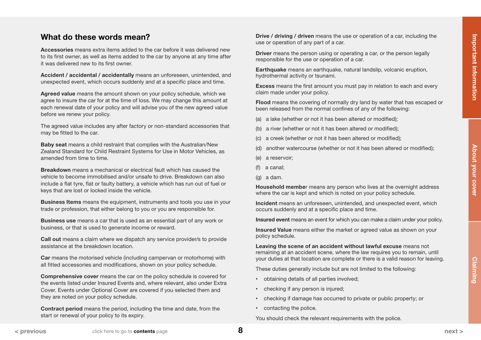# <span id="page-7-0"></span>What do these words mean?

Accessories means extra items added to the car before it was delivered new to its first owner, as well as items added to the car by anyone at any time after it was delivered new to its first owner.

Accident / accidental / accidentally means an unforeseen, unintended, and unexpected event, which occurs suddenly and at a specific place and time.

Agreed value means the amount shown on your policy schedule, which we agree to insure the car for at the time of loss. We may change this amount at each renewal date of your policy and will advise you of the new agreed value before we renew your policy.

The agreed value includes any after factory or non-standard accessories that may be fitted to the car.

Baby seat means a child restraint that complies with the Australian/New Zealand Standard for Child Restraint Systems for Use in Motor Vehicles, as amended from time to time.

Breakdown means a mechanical or electrical fault which has caused the vehicle to become immobilised and/or unsafe to drive. Breakdown can also include a flat tyre, flat or faulty battery, a vehicle which has run out of fuel or keys that are lost or locked inside the vehicle.

Business Items means the equipment, instruments and tools you use in your trade or profession, that either belong to you or you are responsible for.

Business use means a car that is used as an essential part of any work or business, or that is used to generate income or reward.

Call out means a claim where we dispatch any service provider/s to provide assistance at the breakdown location.

Car means the motorised vehicle (including campervan or motorhome) with all fitted accessories and modifications, shown on your policy schedule.

Comprehensive cover means the car on the policy schedule is covered for the events listed under Insured Events and, where relevant, also under Extra Cover. Events under Optional Cover are covered if you selected them and they are noted on your policy schedule.

Contract period means the period, including the time and date, from the start or renewal of your policy to its expiry.

Drive / driving / driven means the use or operation of a car, including the use or operation of any part of a car.

**Driver** means the person using or operating a car, or the person legally responsible for the use or operation of a car.

Earthquake means an earthquake, natural landslip, volcanic eruption, hydrothermal activity or tsunami.

Excess means the first amount you must pay in relation to each and every claim made under your policy.

Flood means the covering of normally dry land by water that has escaped or been released from the normal confines of any of the following:

- (a) a lake (whether or not it has been altered or modified);
- (b) a river (whether or not it has been altered or modified);
- (c) a creek (whether or not it has been altered or modified);
- (d) another watercourse (whether or not it has been altered or modified);
- (e) a reservoir;
- (f) a canal;
- (g) a dam.

Household member means any person who lives at the overnight address where the car is kept and which is noted on your policy schedule.

Incident means an unforeseen, unintended, and unexpected event, which occurs suddenly and at a specific place and time.

Insured event means an event for which you can make a claim under your policy.

Insured Value means either the market or agreed value as shown on your policy schedule.

Leaving the scene of an accident without lawful excuse means not remaining at an accident scene, where the law requires you to remain, until your duties at that location are complete or there is a valid reason for leaving.

These duties generally include but are not limited to the following:

- obtaining details of all parties involved;
- checking if any person is injured;
- checking if damage has occurred to private or public property; or
- contacting the police.

You should check the relevant requirements with the police.

8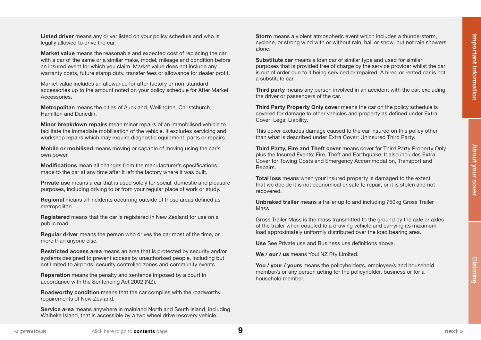<span id="page-8-0"></span>Listed driver means any driver listed on your policy schedule and who is legally allowed to drive the car.

Market value means the reasonable and expected cost of replacing the car with a car of the same or a similar make, model, mileage and condition before an insured event for which you claim. Market value does not include any warranty costs, future stamp duty, transfer fees or allowance for dealer profit.

Market value includes an allowance for after factory or non-standard accessories up to the amount noted on your policy schedule for After Market **Accessories** 

Metropolitan means the cities of Auckland, Wellington, Christchurch, Hamilton and Dunedin.

Minor breakdown repairs mean minor repairs of an immobilised vehicle to facilitate the immediate mobilisation of the vehicle. It excludes servicing and workshop repairs which may require diagnostic equipment, parts or repairs.

Mobile or mobilised means moving or capable of moving using the car's own power.

Modifications mean all changes from the manufacturer's specifications, made to the car at any time after it left the factory where it was built.

Private use means a car that is used solely for social, domestic and pleasure purposes, including driving to or from your regular place of work or study.

Regional means all incidents occurring outside of those areas defined as metropolitan.

Registered means that the car is registered in New Zealand for use on a public road.

Regular driver means the person who drives the car most of the time, or more than anyone else.

Restricted access area means an area that is protected by security and/or systems designed to prevent access by unauthorised people, including but not limited to airports, security controlled zones and community events.

Reparation means the penalty and sentence imposed by a court in accordance with the Sentencing Act 2002 (NZ).

Roadworthy condition means that the car complies with the roadworthy requirements of New Zealand.

Service area means anywhere in mainland North and South Island, including Waiheke Island, that is accessible by a two wheel drive recovery vehicle.

Storm means a violent atmospheric event which includes a thunderstorm, cyclone, or strong wind with or without rain, hail or snow, but not rain showers alone.

Substitute car means a loan car of similar type and used for similar purposes that is provided free of charge by the service provider whilst the car is out of order due to it being serviced or repaired. A hired or rented car is not a substitute car.

Third party means any person involved in an accident with the car, excluding the driver or passengers of the car.

Third Party Property Only cover means the car on the policy schedule is covered for damage to other vehicles and property as defined under Extra Cover: Legal Liability.

This cover excludes damage caused to the car insured on this policy other than what is described under Extra Cover: Uninsured Third Party.

Third Party, Fire and Theft cover means cover for Third Party Property Only plus the Insured Events; Fire, Theft and Earthquake. It also includes Extra Cover for Towing Costs and Emergency Accommodation, Transport and Repairs.

Total loss means when your insured property is damaged to the extent that we decide it is not economical or safe to repair, or it is stolen and not recovered.

Unbraked trailer means a trailer up to and including 750kg Gross Trailer **Mass** 

Gross Trailer Mass is the mass transmitted to the ground by the axle or axles of the trailer when coupled to a drawing vehicle and carrying its maximum load approximately uniformly distributed over the load bearing area.

Use See Private use and Business use definitions above.

We / our / us means Youi NZ Pty Limited.

You / your / yours means the policyholder/s, employee/s and household member/s or any person acting for the policyholder, business or for a household member.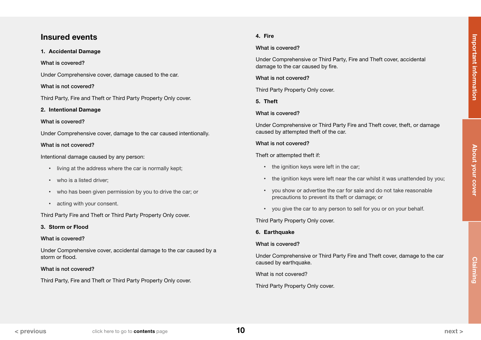# <span id="page-9-0"></span>Insured events

### 1. Accidental Damage

### What is covered?

Under Comprehensive cover, damage caused to the car.

### What is not covered?

Third Party, Fire and Theft or Third Party Property Only cover.

### 2. Intentional Damage

### What is covered?

Under Comprehensive cover, damage to the car caused intentionally.

### What is not covered?

Intentional damage caused by any person:

- living at the address where the car is normally kept;
- who is a listed driver;
- who has been given permission by you to drive the car; or
- acting with your consent.

Third Party Fire and Theft or Third Party Property Only cover.

# 3. Storm or Flood

# What is covered?

Under Comprehensive cover, accidental damage to the car caused by a storm or flood.

# What is not covered?

Third Party, Fire and Theft or Third Party Property Only cover.

# 4. Fire

## What is covered?

Under Comprehensive or Third Party, Fire and Theft cover, accidental damage to the car caused by fire.

### What is not covered?

Third Party Property Only cover.

5. Theft

# What is covered?

Under Comprehensive or Third Party Fire and Theft cover, theft, or damage caused by attempted theft of the car.

### What is not covered?

# Theft or attempted theft if:

- the ignition keys were left in the car;
- the ignition keys were left near the car whilst it was unattended by you;
- you show or advertise the car for sale and do not take reasonable precautions to prevent its theft or damage; or
- you give the car to any person to sell for you or on your behalf.

Third Party Property Only cover.

# 6. Earthquake

# What is covered?

Under Comprehensive or Third Party Fire and Theft cover, damage to the car caused by earthquake.

What is not covered?

Third Party Property Only cover.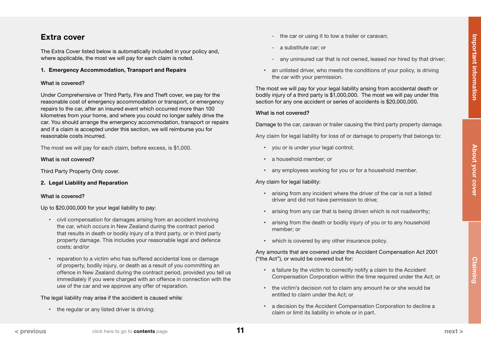# <span id="page-10-0"></span>Extra cover

The Extra Cover listed below is automatically included in your policy and, where applicable, the most we will pay for each claim is noted.

#### 1. Emergency Accommodation, Transport and Repairs

#### What is covered?

Under Comprehensive or Third Party, Fire and Theft cover, we pay for the reasonable cost of emergency accommodation or transport, or emergency repairs to the car, after an insured event which occurred more than 100 kilometres from your home, and where you could no longer safely drive the car. You should arrange the emergency accommodation, transport or repairs and if a claim is accepted under this section, we will reimburse you for reasonable costs incurred.

The most we will pay for each claim, before excess, is \$1,000.

#### What is not covered?

Third Party Property Only cover.

#### 2. Legal Liability and Reparation

#### What is covered?

Up to \$20,000,000 for your legal liability to pay:

- civil compensation for damages arising from an accident involving the car, which occurs in New Zealand during the contract period that results in death or bodily injury of a third party, or in third party property damage. This includes your reasonable legal and defence costs; and/or
- reparation to a victim who has suffered accidental loss or damage of property, bodily injury, or death as a result of you committing an offence in New Zealand during the contract period, provided you tell us immediately if you were charged with an offence in connection with the use of the car and we approve any offer of reparation.

#### The legal liability may arise if the accident is caused while:

• the regular or any listed driver is driving:

- the car or using it to tow a trailer or caravan;
- a substitute car; or
- any uninsured car that is not owned, leased nor hired by that driver;
- an unlisted driver, who meets the conditions of your policy, is driving the car with your permission.

The most we will pay for your legal liability arising from accidental death or bodily injury of a third party is \$1,000,000. The most we will pay under this section for any one accident or series of accidents is \$20,000,000.

#### What is not covered?

Damage to the car, caravan or trailer causing the third party property damage.

Any claim for legal liability for loss of or damage to property that belongs to:

- you or is under your legal control;
- a household member; or
- any employees working for you or for a household member.

Any claim for legal liability:

- arising from any incident where the driver of the car is not a listed driver and did not have permission to drive;
- arising from any car that is being driven which is not roadworthy;
- arising from the death or bodily injury of you or to any household member; or
- which is covered by any other insurance policy.

Any amounts that are covered under the Accident Compensation Act 2001 ("the Act"), or would be covered but for:

- a failure by the victim to correctly notify a claim to the Accident Compensation Corporation within the time required under the Act; or
- the victim's decision not to claim any amount he or she would be entitled to claim under the Act; or
- a decision by the Accident Compensation Corporation to decline a claim or limit its liability in whole or in part.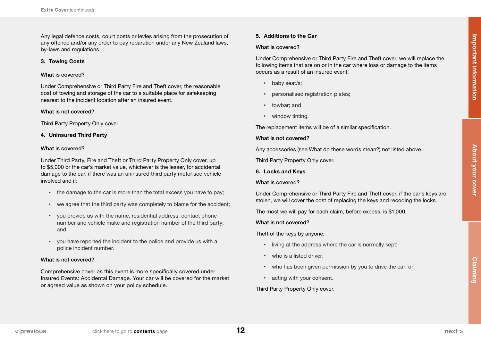<span id="page-11-0"></span>Any legal defence costs, court costs or levies arising from the prosecution of any offence and/or any order to pay reparation under any New Zealand laws, by-laws and regulations.

#### 3. Towing Costs

#### What is covered?

Under Comprehensive or Third Party Fire and Theft cover, the reasonable cost of towing and storage of the car to a suitable place for safekeeping nearest to the incident location after an insured event.

#### What is not covered?

Third Party Property Only cover.

#### 4. Uninsured Third Party

#### What is covered?

Under Third Party, Fire and Theft or Third Party Property Only cover, up to \$5,000 or the car's market value, whichever is the lesser, for accidental damage to the car, if there was an uninsured third party motorised vehicle involved and if:

- the damage to the car is more than the total excess you have to pay;
- we agree that the third party was completely to blame for the accident;
- you provide us with the name, residential address, contact phone number and vehicle make and registration number of the third party; and
- you have reported the incident to the police and provide us with a police incident number.

#### What is not covered?

Comprehensive cover as this event is more specifically covered under Insured Events: Accidental Damage. Your car will be covered for the market or agreed value as shown on your policy schedule.

#### 5. Additions to the Car

#### What is covered?

Under Comprehensive or Third Party Fire and Theft cover, we will replace the following items that are on or in the car where loss or damage to the items occurs as a result of an insured event:

- baby seat/s;
- personalised registration plates;
- towbar; and
- window tinting.

The replacement items will be of a similar specification.

#### What is not covered?

Any accessories (see What do these words mean?) not listed above.

Third Party Property Only cover.

6. Locks and Keys

#### What is covered?

Under Comprehensive or Third Party Fire and Theft cover, if the car's keys are stolen, we will cover the cost of replacing the keys and recoding the locks.

The most we will pay for each claim, before excess, is \$1,000.

What is not covered?

Theft of the keys by anyone:

- living at the address where the car is normally kept;
- who is a listed driver;
- who has been given permission by you to drive the car; or
- acting with your consent.

Third Party Property Only cover.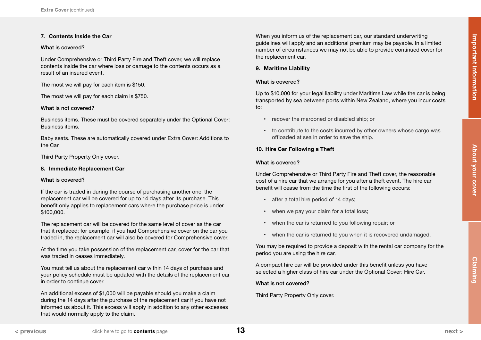#### <span id="page-12-0"></span>7. Contents Inside the Car

#### What is covered?

Under Comprehensive or Third Party Fire and Theft cover, we will replace contents inside the car where loss or damage to the contents occurs as a result of an insured event.

The most we will pay for each item is \$150.

The most we will pay for each claim is \$750.

#### What is not covered?

Business items. These must be covered separately under the Optional Cover: Business items.

Baby seats. These are automatically covered under Extra Cover: Additions to the Car.

Third Party Property Only cover.

#### 8. Immediate Replacement Car

#### What is covered?

If the car is traded in during the course of purchasing another one, the replacement car will be covered for up to 14 days after its purchase. This benefit only applies to replacement cars where the purchase price is under \$100,000.

The replacement car will be covered for the same level of cover as the car that it replaced; for example, if you had Comprehensive cover on the car you traded in, the replacement car will also be covered for Comprehensive cover.

At the time you take possession of the replacement car, cover for the car that was traded in ceases immediately.

You must tell us about the replacement car within 14 days of purchase and your policy schedule must be updated with the details of the replacement car in order to continue cover.

An additional excess of \$1,000 will be payable should you make a claim during the 14 days after the purchase of the replacement car if you have not informed us about it. This excess will apply in addition to any other excesses that would normally apply to the claim.

When you inform us of the replacement car, our standard underwriting guidelines will apply and an additional premium may be payable. In a limited number of circumstances we may not be able to provide continued cover for the replacement car.

#### 9. Maritime Liability

### What is covered?

Up to \$10,000 for your legal liability under Maritime Law while the car is being transported by sea between ports within New Zealand, where you incur costs to:

- recover the marooned or disabled ship; or
- to contribute to the costs incurred by other owners whose cargo was offloaded at sea in order to save the ship.

### 10. Hire Car Following a Theft

#### What is covered?

Under Comprehensive or Third Party Fire and Theft cover, the reasonable cost of a hire car that we arrange for you after a theft event. The hire car benefit will cease from the time the first of the following occurs:

- after a total hire period of 14 days;
- when we pay your claim for a total loss;
- when the car is returned to you following repair; or
- when the car is returned to you when it is recovered undamaged.

You may be required to provide a deposit with the rental car company for the period you are using the hire car.

A compact hire car will be provided under this benefit unless you have selected a higher class of hire car under the Optional Cover: Hire Car.

What is not covered?

Third Party Property Only cover.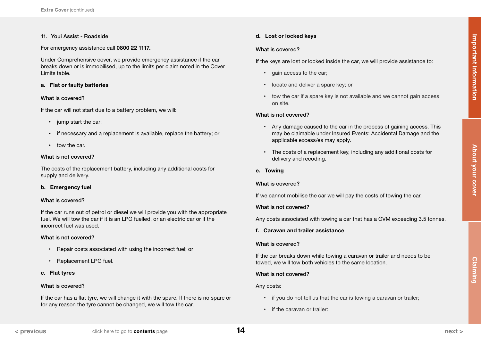#### <span id="page-13-0"></span>11. Youi Assist - Roadside

For emergency assistance call 0800 22 1117.

Under Comprehensive cover, we provide emergency assistance if the car breaks down or is immobilised, up to the limits per claim noted in the Cover Limits table.

#### a. Flat or faulty batteries

#### What is covered?

If the car will not start due to a battery problem, we will:

- jump start the car;
- if necessary and a replacement is available, replace the battery; or
- tow the car.

#### What is not covered?

The costs of the replacement battery, including any additional costs for supply and delivery.

#### b. Emergency fuel

#### What is covered?

If the car runs out of petrol or diesel we will provide you with the appropriate fuel. We will tow the car if it is an LPG fuelled, or an electric car or if the incorrect fuel was used.

#### What is not covered?

- Repair costs associated with using the incorrect fuel; or
- Replacement LPG fuel.

#### c. Flat tyres

#### What is covered?

If the car has a flat tyre, we will change it with the spare. If there is no spare or for any reason the tyre cannot be changed, we will tow the car.

#### d. Lost or locked keys

#### What is covered?

If the keys are lost or locked inside the car, we will provide assistance to:

- gain access to the car;
- locate and deliver a spare key; or
- tow the car if a spare key is not available and we cannot gain access on site.

#### What is not covered?

- Any damage caused to the car in the process of gaining access. This may be claimable under Insured Events: Accidental Damage and the applicable excess/es may apply.
- The costs of a replacement key, including any additional costs for delivery and recoding.
- e. Towing

### What is covered?

If we cannot mobilise the car we will pay the costs of towing the car.

#### What is not covered?

Any costs associated with towing a car that has a GVM exceeding 3.5 tonnes.

#### f. Caravan and trailer assistance

#### What is covered?

If the car breaks down while towing a caravan or trailer and needs to be towed, we will tow both vehicles to the same location.

#### What is not covered?

#### Any costs:

- if you do not tell us that the car is towing a caravan or trailer;
- if the caravan or trailer: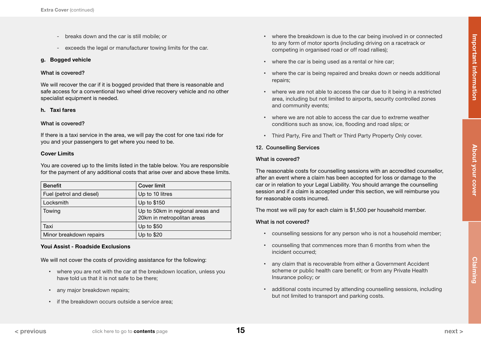- <span id="page-14-0"></span>- breaks down and the car is still mobile; or
- exceeds the legal or manufacturer towing limits for the car.

### g. Bogged vehicle

#### What is covered?

We will recover the car if it is bogged provided that there is reasonable and safe access for a conventional two wheel drive recovery vehicle and no other specialist equipment is needed.

#### h. Taxi fares

#### What is covered?

If there is a taxi service in the area, we will pay the cost for one taxi ride for you and your passengers to get where you need to be.

#### Cover Limits

You are covered up to the limits listed in the table below. You are responsible for the payment of any additional costs that arise over and above these limits.

| <b>Benefit</b>           | <b>Cover limit</b>                                             |
|--------------------------|----------------------------------------------------------------|
| Fuel (petrol and diesel) | Up to 10 litres                                                |
| Locksmith                | Up to \$150                                                    |
| Towing                   | Up to 50km in regional areas and<br>20km in metropolitan areas |
| Taxi                     | Up to \$50                                                     |
| Minor breakdown repairs  | Up to \$20                                                     |

### Youi Assist - Roadside Exclusions

We will not cover the costs of providing assistance for the following:

- where you are not with the car at the breakdown location, unless you have told us that it is not safe to be there;
- any major breakdown repairs:
- if the breakdown occurs outside a service area;
- where the breakdown is due to the car being involved in or connected to any form of motor sports (including driving on a racetrack or competing in organised road or off road rallies);
- where the car is being used as a rental or hire car;
- where the car is being repaired and breaks down or needs additional repairs;
- where we are not able to access the car due to it being in a restricted area, including but not limited to airports, security controlled zones and community events;
- where we are not able to access the car due to extreme weather conditions such as snow, ice, flooding and road slips; or
- Third Party, Fire and Theft or Third Party Property Only cover.

### 12. Counselling Services

#### What is covered?

The reasonable costs for counselling sessions with an accredited counsellor, after an event where a claim has been accepted for loss or damage to the car or in relation to your Legal Liability. You should arrange the counselling session and if a claim is accepted under this section, we will reimburse you for reasonable costs incurred.

The most we will pay for each claim is \$1,500 per household member.

### What is not covered?

- counselling sessions for any person who is not a household member;
- counselling that commences more than 6 months from when the incident occurred;
- any claim that is recoverable from either a Government Accident scheme or public health care benefit; or from any Private Health Insurance policy; or
- additional costs incurred by attending counselling sessions, including but not limited to transport and parking costs.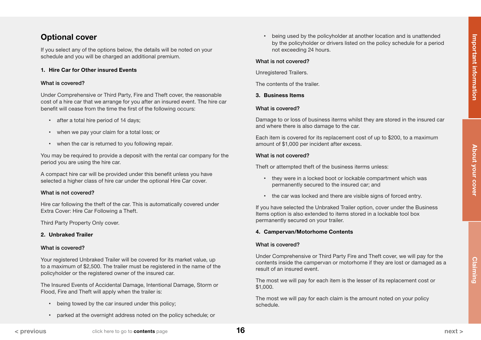# <span id="page-15-0"></span>Optional cover

If you select any of the options below, the details will be noted on your schedule and you will be charged an additional premium.

#### 1. Hire Car for Other insured Events

#### What is covered?

Under Comprehensive or Third Party, Fire and Theft cover, the reasonable cost of a hire car that we arrange for you after an insured event. The hire car benefit will cease from the time the first of the following occurs:

- after a total hire period of 14 days;
- when we pay your claim for a total loss; or
- when the car is returned to you following repair.

You may be required to provide a deposit with the rental car company for the period you are using the hire car.

A compact hire car will be provided under this benefit unless you have selected a higher class of hire car under the optional Hire Car cover.

#### What is not covered?

Hire car following the theft of the car. This is automatically covered under Extra Cover: Hire Car Following a Theft.

Third Party Property Only cover.

#### 2. Unbraked Trailer

#### What is covered?

Your registered Unbraked Trailer will be covered for its market value, up to a maximum of \$2,500. The trailer must be registered in the name of the policyholder or the registered owner of the insured car.

The Insured Events of Accidental Damage, Intentional Damage, Storm or Flood, Fire and Theft will apply when the trailer is:

- being towed by the car insured under this policy;
- parked at the overnight address noted on the policy schedule; or

• being used by the policyholder at another location and is unattended by the policyholder or drivers listed on the policy schedule for a period not exceeding 24 hours.

#### What is not covered?

Unregistered Trailers.

The contents of the trailer.

#### 3. Business Items

#### What is covered?

Damage to or loss of business iterms whilst they are stored in the insured car and where there is also damage to the car.

Each item is covered for its replacement cost of up to \$200, to a maximum amount of \$1,000 per incident after excess.

#### What is not covered?

Theft or attempted theft of the business iterms unless:

- they were in a locked boot or lockable compartment which was permanently secured to the insured car; and
- the car was locked and there are visible signs of forced entry.

If you have selected the Unbraked Trailer option, cover under the Business Items option is also extended to items stored in a lockable tool box permanently secured on your trailer.

#### 4. Campervan/Motorhome Contents

#### What is covered?

Under Comprehensive or Third Party Fire and Theft cover, we will pay for the contents inside the campervan or motorhome if they are lost or damaged as a result of an insured event.

The most we will pay for each item is the lesser of its replacement cost or \$1,000.

The most we will pay for each claim is the amount noted on your policy schedule.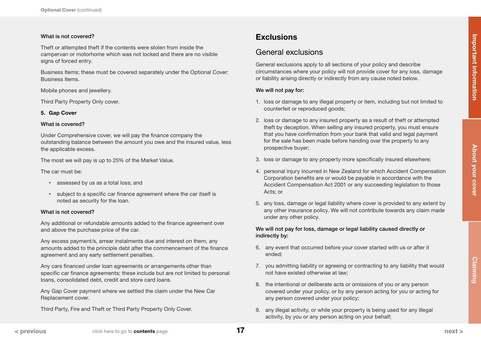# <span id="page-16-0"></span>What is not covered?

Theft or attempted theft if the contents were stolen from inside the campervan or motorhome which was not locked and there are no visible signs of forced entry.

Business Items; these must be covered separately under the Optional Cover: Business Items.

Mobile phones and jewellery.

Third Party Property Only cover.

### 5. Gap Cover

#### What is covered?

Under Comprehensive cover, we will pay the finance company the outstanding balance between the amount you owe and the insured value, less the applicable excess.

The most we will pay is up to 25% of the Market Value.

The car must be:

- assessed by us as a total loss; and
- subject to a specific car finance agreement where the car itself is noted as security for the loan.

#### What is not covered?

Any additional or refundable amounts added to the finance agreement over and above the purchase price of the car.

Any excess payment/s, arrear instalments due and interest on them, any amounts added to the principle debt after the commencement of the finance agreement and any early settlement penalties.

Any cars financed under loan agreements or arrangements other than specific car finance agreements; these include but are not limited to personal loans, consolidated debt, credit and store card loans.

Any Gap Cover payment where we settled the claim under the New Car Replacement cover.

Third Party, Fire and Theft or Third Party Property Only Cover.

# **Exclusions**

# General exclusions

General exclusions apply to all sections of your policy and describe circumstances where your policy will not provide cover for any loss, damage or liability arising directly or indirectly from any cause noted below.

### We will not pay for:

- 1. loss or damage to any illegal property or item, including but not limited to counterfeit or reproduced goods;
- 2. loss or damage to any insured property as a result of theft or attempted theft by deception. When selling any insured property, you must ensure that you have confirmation from your bank that valid and legal payment for the sale has been made before handing over the property to any prospective buyer;
- 3. loss or damage to any property more specifically insured elsewhere;
- 4. personal injury incurred in New Zealand for which Accident Compensation Corporation benefits are or would be payable in accordance with the Accident Compensation Act 2001 or any succeeding legislation to those Acts; or
- 5. any loss, damage or legal liability where cover is provided to any extent by any other insurance policy. We will not contribute towards any claim made under any other policy.

### We will not pay for loss, damage or legal liability caused directly or indirectly by:

- 6. any event that occurred before your cover started with us or after it ended;
- 7. you admitting liability or agreeing or contracting to any liability that would not have existed otherwise at law;
- 8. the intentional or deliberate acts or omissions of you or any person covered under your policy, or by any person acting for you or acting for any person covered under your policy;
- 9. any illegal activity, or while your property is being used for any illegal activity, by you or any person acting on your behalf;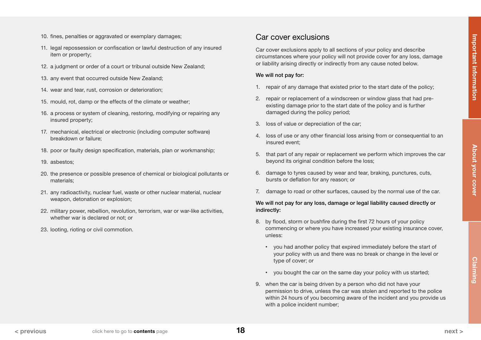- <span id="page-17-0"></span>10. fines, penalties or aggravated or exemplary damages;
- 11. legal repossession or confiscation or lawful destruction of any insured item or property;
- 12. a judgment or order of a court or tribunal outside New Zealand;
- 13. any event that occurred outside New Zealand;
- 14. wear and tear, rust, corrosion or deterioration;
- 15. mould, rot, damp or the effects of the climate or weather;
- 16. a process or system of cleaning, restoring, modifying or repairing any insured property;
- 17. mechanical, electrical or electronic (including computer software) breakdown or failure;
- 18. poor or faulty design specification, materials, plan or workmanship;
- 19. asbestos;
- 20. the presence or possible presence of chemical or biological pollutants or materials;
- 21. any radioactivity, nuclear fuel, waste or other nuclear material, nuclear weapon, detonation or explosion;
- 22. military power, rebellion, revolution, terrorism, war or war-like activities, whether war is declared or not; or
- 23. looting, rioting or civil commotion.

# Car cover exclusions

Car cover exclusions apply to all sections of your policy and describe circumstances where your policy will not provide cover for any loss, damage or liability arising directly or indirectly from any cause noted below.

#### We will not pay for:

- 1. repair of any damage that existed prior to the start date of the policy;
- 2. repair or replacement of a windscreen or window glass that had preexisting damage prior to the start date of the policy and is further damaged during the policy period;
- 3. loss of value or depreciation of the car;
- 4. loss of use or any other financial loss arising from or consequential to an insured event;
- 5. that part of any repair or replacement we perform which improves the car beyond its original condition before the loss;
- 6. damage to tyres caused by wear and tear, braking, punctures, cuts, bursts or deflation for any reason; or
- 7. damage to road or other surfaces, caused by the normal use of the car.

### We will not pay for any loss, damage or legal liability caused directly or indirectly:

- 8. by flood, storm or bushfire during the first 72 hours of your policy commencing or where you have increased your existing insurance cover, unless:
	- you had another policy that expired immediately before the start of your policy with us and there was no break or change in the level or type of cover; or
	- you bought the car on the same day your policy with us started;
- 9. when the car is being driven by a person who did not have your permission to drive, unless the car was stolen and reported to the police within 24 hours of you becoming aware of the incident and you provide us with a police incident number;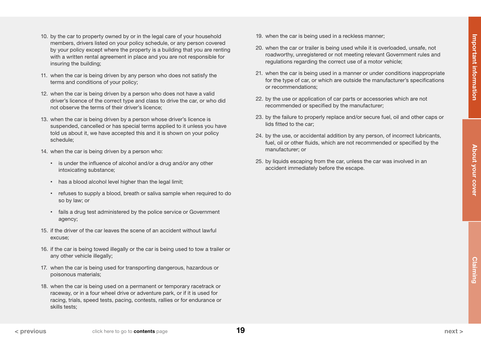- <span id="page-18-0"></span>10. by the car to property owned by or in the legal care of your household members, drivers listed on your policy schedule, or any person covered by your policy except where the property is a building that you are renting with a written rental agreement in place and you are not responsible for insuring the building;
- 11. when the car is being driven by any person who does not satisfy the terms and conditions of your policy;
- 12. when the car is being driven by a person who does not have a valid driver's licence of the correct type and class to drive the car, or who did not observe the terms of their driver's licence;
- 13. when the car is being driven by a person whose driver's licence is suspended, cancelled or has special terms applied to it unless you have told us about it, we have accepted this and it is shown on your policy schedule;
- 14. when the car is being driven by a person who:
	- is under the influence of alcohol and/or a drug and/or any other intoxicating substance;
	- has a blood alcohol level higher than the legal limit;
	- refuses to supply a blood, breath or saliva sample when required to do so by law; or
	- fails a drug test administered by the police service or Government agency;
- 15. if the driver of the car leaves the scene of an accident without lawful excuse;
- 16. if the car is being towed illegally or the car is being used to tow a trailer or any other vehicle illegally;
- 17. when the car is being used for transporting dangerous, hazardous or poisonous materials;
- 18. when the car is being used on a permanent or temporary racetrack or raceway, or in a four wheel drive or adventure park, or if it is used for racing, trials, speed tests, pacing, contests, rallies or for endurance or skills tests;
- 19. when the car is being used in a reckless manner;
- 20. when the car or trailer is being used while it is overloaded, unsafe, not roadworthy, unregistered or not meeting relevant Government rules and regulations regarding the correct use of a motor vehicle;
- 21. when the car is being used in a manner or under conditions inappropriate for the type of car, or which are outside the manufacturer's specifications or recommendations;
- 22. by the use or application of car parts or accessories which are not recommended or specified by the manufacturer;
- 23. by the failure to properly replace and/or secure fuel, oil and other caps or lids fitted to the car;
- 24. by the use, or accidental addition by any person, of incorrect lubricants, fuel, oil or other fluids, which are not recommended or specified by the manufacturer; or
- 25. by liquids escaping from the car, unless the car was involved in an accident immediately before the escape.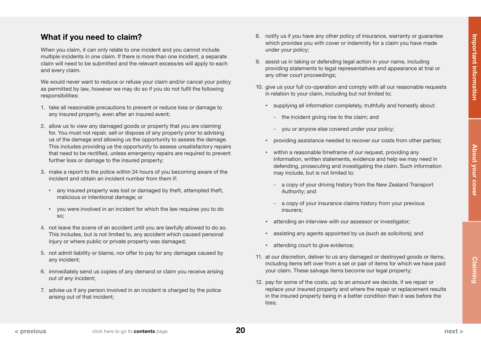# <span id="page-19-0"></span>What if you need to claim?

When you claim, it can only relate to one incident and you cannot include multiple incidents in one claim. If there is more than one incident, a separate claim will need to be submitted and the relevant excess/es will apply to each and every claim.

We would never want to reduce or refuse your claim and/or cancel your policy as permitted by law, however we may do so if you do not fulfil the following responsibilities:

- 1. take all reasonable precautions to prevent or reduce loss or damage to any insured property, even after an insured event;
- 2. allow us to view any damaged goods or property that you are claiming for. You must not repair, sell or dispose of any property prior to advising us of the damage and allowing us the opportunity to assess the damage. This includes providing us the opportunity to assess unsatisfactory repairs that need to be rectified, unless emergency repairs are required to prevent further loss or damage to the insured property;
- 3. make a report to the police within 24 hours of you becoming aware of the incident and obtain an incident number from them if:
	- any insured property was lost or damaged by theft, attempted theft, malicious or intentional damage; or
	- you were involved in an incident for which the law requires you to do so;
- 4. not leave the scene of an accident until you are lawfully allowed to do so. This includes, but is not limited to, any accident which caused personal injury or where public or private property was damaged;
- 5. not admit liability or blame, nor offer to pay for any damages caused by any incident;
- 6. immediately send us copies of any demand or claim you receive arising out of any incident;
- 7. advise us if any person involved in an incident is charged by the police arising out of that incident;
- 8. notify us if you have any other policy of insurance, warranty or guarantee which provides you with cover or indemnity for a claim you have made under your policy;
- 9. assist us in taking or defending legal action in your name, including providing statements to legal representatives and appearance at trial or any other court proceedings;
- 10. give us your full co-operation and comply with all our reasonable requests in relation to your claim, including but not limited to;
	- supplying all information completely, truthfully and honestly about:
		- the incident giving rise to the claim; and
		- you or anyone else covered under your policy;
	- providing assistance needed to recover our costs from other parties;
	- within a reasonable timeframe of our request, providing any information, written statements, evidence and help we may need in defending, prosecuting and investigating the claim. Such information may include, but is not limited to:
		- a copy of your driving history from the New Zealand Transport Authority; and
		- a copy of your insurance claims history from your previous insurers;
	- attending an interview with our assessor or investigator;
	- assisting any agents appointed by us (such as solicitors); and
	- attending court to give evidence;
- 11. at our discretion, deliver to us any damaged or destroyed goods or items, including items left over from a set or pair of items for which we have paid your claim. These salvage items become our legal property;
- 12. pay for some of the costs, up to an amount we decide, if we repair or replace your insured property and where the repair or replacement results in the insured property being in a better condition than it was before the loss;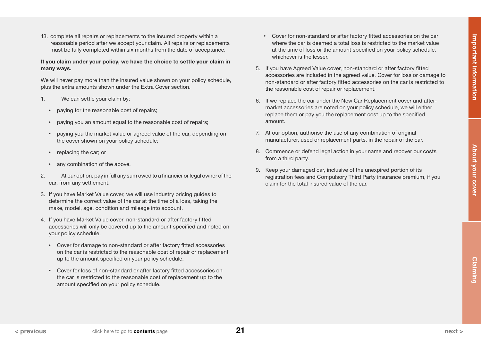<span id="page-20-0"></span>13. complete all repairs or replacements to the insured property within a reasonable period after we accept your claim. All repairs or replacements must be fully completed within six months from the date of acceptance.

### If you claim under your policy, we have the choice to settle your claim in many ways.

We will never pay more than the insured value shown on your policy schedule, plus the extra amounts shown under the Extra Cover section.

- 1. We can settle your claim by:
	- paying for the reasonable cost of repairs;
	- paying you an amount equal to the reasonable cost of repairs;
	- paying you the market value or agreed value of the car, depending on the cover shown on your policy schedule;
	- replacing the car; or
	- any combination of the above.
- 2. At our option, pay in full any sum owed to a financier or legal owner of the car, from any settlement.
- 3. If you have Market Value cover, we will use industry pricing guides to determine the correct value of the car at the time of a loss, taking the make, model, age, condition and mileage into account.
- 4. If you have Market Value cover, non-standard or after factory fitted accessories will only be covered up to the amount specified and noted on your policy schedule.
	- Cover for damage to non-standard or after factory fitted accessories on the car is restricted to the reasonable cost of repair or replacement up to the amount specified on your policy schedule.
	- Cover for loss of non-standard or after factory fitted accessories on the car is restricted to the reasonable cost of replacement up to the amount specified on your policy schedule.
- Cover for non-standard or after factory fitted accessories on the car where the car is deemed a total loss is restricted to the market value at the time of loss or the amount specified on your policy schedule, whichever is the lesser.
- 5. If you have Agreed Value cover, non-standard or after factory fitted accessories are included in the agreed value. Cover for loss or damage to non-standard or after factory fitted accessories on the car is restricted to the reasonable cost of repair or replacement.
- 6. If we replace the car under the New Car Replacement cover and aftermarket accessories are noted on your policy schedule, we will either replace them or pay you the replacement cost up to the specified amount.
- 7. At our option, authorise the use of any combination of original manufacturer, used or replacement parts, in the repair of the car.
- 8. Commence or defend legal action in your name and recover our costs from a third party.
- 9. Keep your damaged car, inclusive of the unexpired portion of its registration fees and Compulsory Third Party insurance premium, if you claim for the total insured value of the car.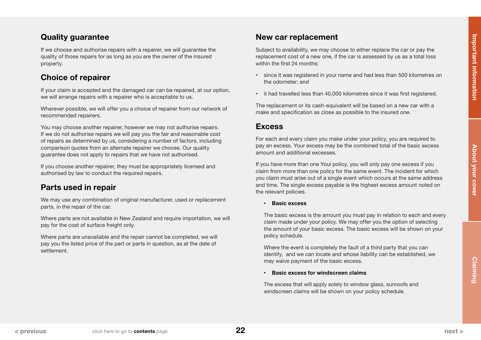<span id="page-21-0"></span>If we choose and authorise repairs with a repairer, we will guarantee the quality of those repairs for as long as you are the owner of the insured property.

# Choice of repairer

If your claim is accepted and the damaged car can be repaired, at our option, we will arrange repairs with a repairer who is acceptable to us.

Wherever possible, we will offer you a choice of repairer from our network of recommended repairers.

You may choose another repairer, however we may not authorise repairs. If we do not authorise repairs we will pay you the fair and reasonable cost of repairs as determined by us, considering a number of factors, including comparison quotes from an alternate repairer we choose. Our quality guarantee does not apply to repairs that we have not authorised.

If you choose another repairer, they must be appropriately licensed and authorised by law to conduct the required repairs.

# Parts used in repair

We may use any combination of original manufacturer, used or replacement parts, in the repair of the car.

Where parts are not available in New Zealand and require importation, we will pay for the cost of surface freight only.

Where parts are unavailable and the repair cannot be completed, we will pay you the listed price of the part or parts in question, as at the date of settlement.

# New car replacement

Subject to availability, we may choose to either replace the car or pay the replacement cost of a new one, if the car is assessed by us as a total loss within the first 24 months:

- since it was registered in your name and had less than 500 kilometres on the odometer; and
- it had travelled less than 40,000 kilometres since it was first registered.

The replacement or its cash-equivalent will be based on a new car with a make and specification as close as possible to the insured one.

# Excess

For each and every claim you make under your policy, you are required to pay an excess. Your excess may be the combined total of the basic excess amount and additional excesses.

If you have more than one Youi policy, you will only pay one excess if you claim from more than one policy for the same event. The incident for which you claim must arise out of a single event which occurs at the same address and time. The single excess payable is the highest excess amount noted on the relevant policies.

• Basic excess

The basic excess is the amount you must pay in relation to each and every claim made under your policy. We may offer you the option of selecting the amount of your basic excess. The basic excess will be shown on your policy schedule.

Where the event is completely the fault of a third party that you can identify, and we can locate and whose liability can be established, we may waive payment of the basic excess.

### • Basic excess for windscreen claims

The excess that will apply solely to window glass, sunroofs and windscreen claims will be shown on your policy schedule.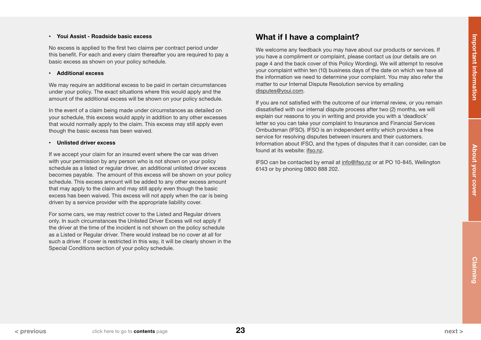### <span id="page-22-0"></span>• Youi Assist - Roadside basic excess

No excess is applied to the first two claims per contract period under this benefit. For each and every claim thereafter you are required to pay a basic excess as shown on your policy schedule.

#### • Additional excess

We may require an additional excess to be paid in certain circumstances under your policy. The exact situations where this would apply and the amount of the additional excess will be shown on your policy schedule.

In the event of a claim being made under circumstances as detailed on your schedule, this excess would apply in addition to any other excesses that would normally apply to the claim. This excess may still apply even though the basic excess has been waived.

#### • Unlisted driver excess

If we accept your claim for an insured event where the car was driven with your permission by any person who is not shown on your policy schedule as a listed or regular driver, an additional unlisted driver excess becomes payable. The amount of this excess will be shown on your policy schedule. This excess amount will be added to any other excess amount that may apply to the claim and may still apply even though the basic excess has been waived. This excess will not apply when the car is being driven by a service provider with the appropriate liability cover.

For some cars, we may restrict cover to the Listed and Regular drivers only. In such circumstances the Unlisted Driver Excess will not apply if the driver at the time of the incident is not shown on the policy schedule as a Listed or Regular driver. There would instead be no cover at all for such a driver. If cover is restricted in this way, it will be clearly shown in the Special Conditions section of your policy schedule.

# What if I have a complaint?

We welcome any feedback you may have about our products or services. If you have a compliment or complaint, please contact us (our details are on page 4 and the back cover of this Policy Wording). We will attempt to resolve your complaint within ten (10) business days of the date on which we have all the information we need to determine your complaint. You may also refer the matter to our Internal Dispute Resolution service by emailing [disputes@youi.com.](mailto:disputes%40youi.com?subject=)

If you are not satisfied with the outcome of our internal review, or you remain dissatisfied with our internal dispute process after two (2) months, we will explain our reasons to you in writing and provide you with a 'deadlock' letter so you can take your complaint to Insurance and Financial Services Ombudsman (IFSO). IFSO is an independent entity which provides a free service for resolving disputes between insurers and their customers. Information about IFSO, and the types of disputes that it can consider, can be found at its website: [ifso.nz](http://ifso.nz).

IFSO can be contacted by email at [info@ifso.nz](mailto:info%40ifso.nz?subject=) or at PO 10-845, Wellington 6143 or by phoning 0800 888 202.